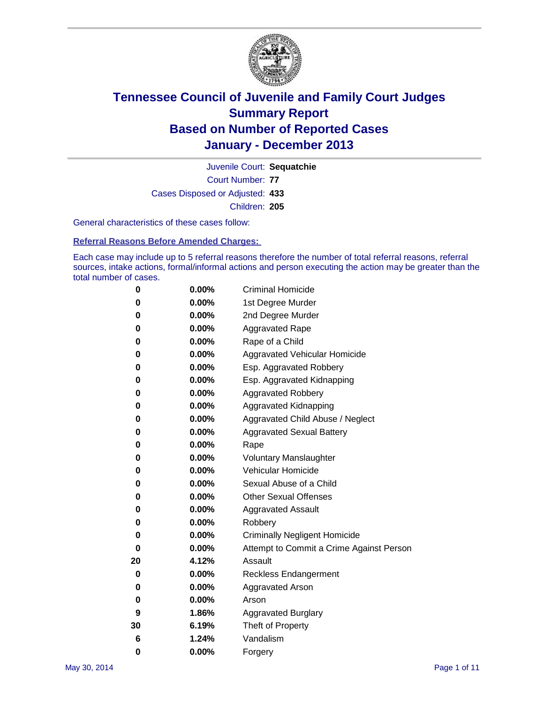

Court Number: **77** Juvenile Court: **Sequatchie** Cases Disposed or Adjusted: **433** Children: **205**

General characteristics of these cases follow:

**Referral Reasons Before Amended Charges:** 

Each case may include up to 5 referral reasons therefore the number of total referral reasons, referral sources, intake actions, formal/informal actions and person executing the action may be greater than the total number of cases.

| 0  | 0.00%    | <b>Criminal Homicide</b>                 |
|----|----------|------------------------------------------|
| 0  | 0.00%    | 1st Degree Murder                        |
| 0  | 0.00%    | 2nd Degree Murder                        |
| 0  | $0.00\%$ | <b>Aggravated Rape</b>                   |
| 0  | 0.00%    | Rape of a Child                          |
| 0  | 0.00%    | <b>Aggravated Vehicular Homicide</b>     |
| 0  | 0.00%    | Esp. Aggravated Robbery                  |
| 0  | 0.00%    | Esp. Aggravated Kidnapping               |
| 0  | 0.00%    | <b>Aggravated Robbery</b>                |
| 0  | 0.00%    | Aggravated Kidnapping                    |
| 0  | 0.00%    | Aggravated Child Abuse / Neglect         |
| 0  | 0.00%    | <b>Aggravated Sexual Battery</b>         |
| 0  | 0.00%    | Rape                                     |
| 0  | 0.00%    | <b>Voluntary Manslaughter</b>            |
| 0  | 0.00%    | Vehicular Homicide                       |
| 0  | 0.00%    | Sexual Abuse of a Child                  |
| 0  | 0.00%    | <b>Other Sexual Offenses</b>             |
| 0  | 0.00%    | <b>Aggravated Assault</b>                |
| 0  | 0.00%    | Robbery                                  |
| 0  | 0.00%    | <b>Criminally Negligent Homicide</b>     |
| 0  | 0.00%    | Attempt to Commit a Crime Against Person |
| 20 | 4.12%    | Assault                                  |
| 0  | 0.00%    | <b>Reckless Endangerment</b>             |
| 0  | 0.00%    | <b>Aggravated Arson</b>                  |
| 0  | 0.00%    | Arson                                    |
| 9  | 1.86%    | <b>Aggravated Burglary</b>               |
| 30 | 6.19%    | Theft of Property                        |
| 6  | 1.24%    | Vandalism                                |
| 0  | 0.00%    | Forgery                                  |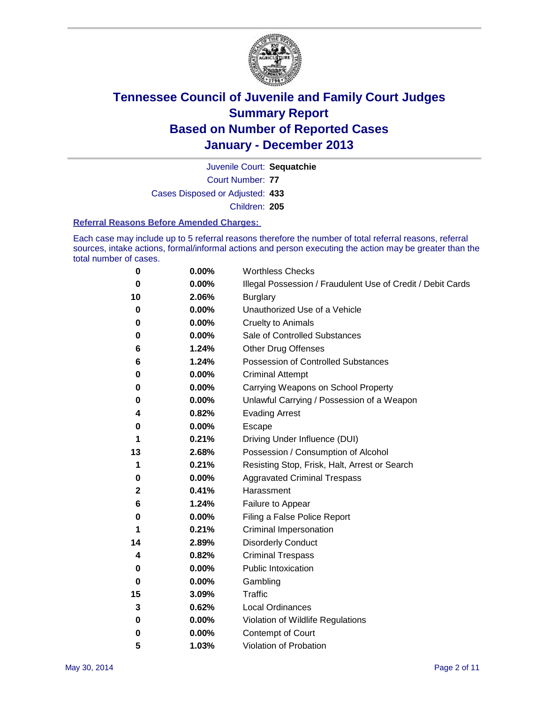

Court Number: **77** Juvenile Court: **Sequatchie** Cases Disposed or Adjusted: **433** Children: **205**

#### **Referral Reasons Before Amended Charges:**

Each case may include up to 5 referral reasons therefore the number of total referral reasons, referral sources, intake actions, formal/informal actions and person executing the action may be greater than the total number of cases.

| 0  | 0.00% | <b>Worthless Checks</b>                                     |  |  |
|----|-------|-------------------------------------------------------------|--|--|
| 0  | 0.00% | Illegal Possession / Fraudulent Use of Credit / Debit Cards |  |  |
| 10 | 2.06% | <b>Burglary</b>                                             |  |  |
| 0  | 0.00% | Unauthorized Use of a Vehicle                               |  |  |
| 0  | 0.00% | <b>Cruelty to Animals</b>                                   |  |  |
| 0  | 0.00% | Sale of Controlled Substances                               |  |  |
| 6  | 1.24% | <b>Other Drug Offenses</b>                                  |  |  |
| 6  | 1.24% | Possession of Controlled Substances                         |  |  |
| 0  | 0.00% | <b>Criminal Attempt</b>                                     |  |  |
| 0  | 0.00% | Carrying Weapons on School Property                         |  |  |
| 0  | 0.00% | Unlawful Carrying / Possession of a Weapon                  |  |  |
| 4  | 0.82% | <b>Evading Arrest</b>                                       |  |  |
| 0  | 0.00% | Escape                                                      |  |  |
| 1  | 0.21% | Driving Under Influence (DUI)                               |  |  |
| 13 | 2.68% | Possession / Consumption of Alcohol                         |  |  |
| 1  | 0.21% | Resisting Stop, Frisk, Halt, Arrest or Search               |  |  |
| 0  | 0.00% | <b>Aggravated Criminal Trespass</b>                         |  |  |
| 2  | 0.41% | Harassment                                                  |  |  |
| 6  | 1.24% | Failure to Appear                                           |  |  |
| 0  | 0.00% | Filing a False Police Report                                |  |  |
| 1  | 0.21% | Criminal Impersonation                                      |  |  |
| 14 | 2.89% | <b>Disorderly Conduct</b>                                   |  |  |
| 4  | 0.82% | <b>Criminal Trespass</b>                                    |  |  |
| 0  | 0.00% | <b>Public Intoxication</b>                                  |  |  |
| 0  | 0.00% | Gambling                                                    |  |  |
| 15 | 3.09% | Traffic                                                     |  |  |
| 3  | 0.62% | Local Ordinances                                            |  |  |
| 0  | 0.00% | Violation of Wildlife Regulations                           |  |  |
| 0  | 0.00% | Contempt of Court                                           |  |  |
| 5  | 1.03% | Violation of Probation                                      |  |  |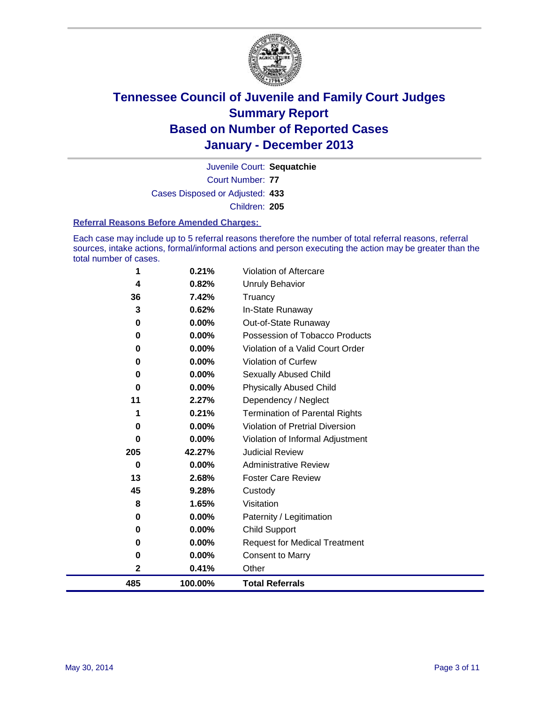

Court Number: **77** Juvenile Court: **Sequatchie** Cases Disposed or Adjusted: **433** Children: **205**

#### **Referral Reasons Before Amended Charges:**

Each case may include up to 5 referral reasons therefore the number of total referral reasons, referral sources, intake actions, formal/informal actions and person executing the action may be greater than the total number of cases.

| 1   | 0.21%    | Violation of Aftercare                 |
|-----|----------|----------------------------------------|
| 4   | 0.82%    | <b>Unruly Behavior</b>                 |
| 36  | 7.42%    | Truancy                                |
| 3   | 0.62%    | In-State Runaway                       |
| 0   | 0.00%    | Out-of-State Runaway                   |
| 0   | 0.00%    | Possession of Tobacco Products         |
| 0   | 0.00%    | Violation of a Valid Court Order       |
| 0   | $0.00\%$ | <b>Violation of Curfew</b>             |
| 0   | $0.00\%$ | <b>Sexually Abused Child</b>           |
| 0   | $0.00\%$ | <b>Physically Abused Child</b>         |
| 11  | 2.27%    | Dependency / Neglect                   |
| 1   | 0.21%    | <b>Termination of Parental Rights</b>  |
| 0   | $0.00\%$ | <b>Violation of Pretrial Diversion</b> |
| O   | 0.00%    | Violation of Informal Adjustment       |
| 205 | 42.27%   | <b>Judicial Review</b>                 |
| 0   | $0.00\%$ | <b>Administrative Review</b>           |
| 13  | 2.68%    | <b>Foster Care Review</b>              |
| 45  | 9.28%    | Custody                                |
| 8   | 1.65%    | Visitation                             |
| 0   | 0.00%    | Paternity / Legitimation               |
| 0   | 0.00%    | <b>Child Support</b>                   |
| 0   | 0.00%    | <b>Request for Medical Treatment</b>   |
| 0   | 0.00%    | <b>Consent to Marry</b>                |
| 2   | 0.41%    | Other                                  |
| 485 | 100.00%  | <b>Total Referrals</b>                 |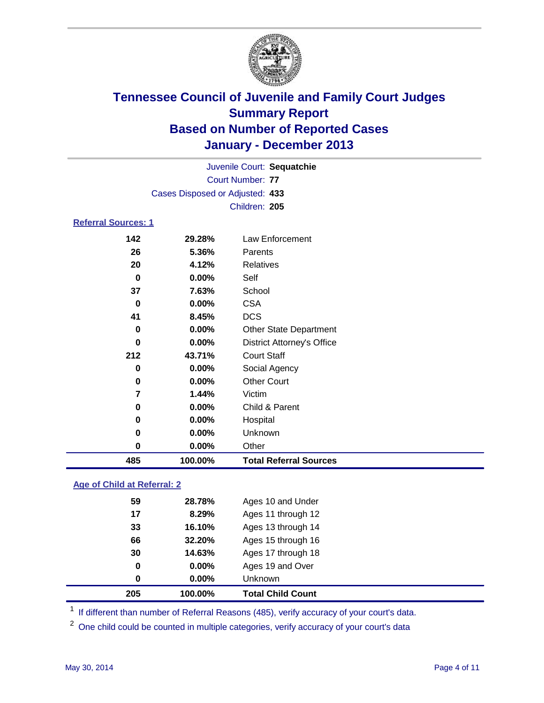

| <b>Referral Sources: 1</b> | Cases Disposed or Adjusted: 433 | Juvenile Court: Sequatchie<br>Court Number: 77<br>Children: 205 |
|----------------------------|---------------------------------|-----------------------------------------------------------------|
| 142                        | 29.28%                          | Law Enforcement                                                 |
| 26                         | 5.36%                           | Parents                                                         |
| 20                         | 4.12%                           | Relatives                                                       |

| 485      | 100.00%  | <b>Total Referral Sources</b>     |  |
|----------|----------|-----------------------------------|--|
| 0        | 0.00%    | Other                             |  |
| $\bf{0}$ | $0.00\%$ | Unknown                           |  |
| 0        | 0.00%    | Hospital                          |  |
| $\bf{0}$ | 0.00%    | Child & Parent                    |  |
| 7        | 1.44%    | Victim                            |  |
| 0        | 0.00%    | <b>Other Court</b>                |  |
| $\bf{0}$ | 0.00%    | Social Agency                     |  |
| 212      | 43.71%   | <b>Court Staff</b>                |  |
| $\bf{0}$ | 0.00%    | <b>District Attorney's Office</b> |  |
| $\bf{0}$ | 0.00%    | <b>Other State Department</b>     |  |
| 41       | 8.45%    | <b>DCS</b>                        |  |
| 0        | 0.00%    | <b>CSA</b>                        |  |
| 37       | 7.63%    | School                            |  |
| 0        | $0.00\%$ | Self                              |  |
| 20       | 4.12%    | <b>Relatives</b>                  |  |
|          |          |                                   |  |

### **Age of Child at Referral: 2**

| 0<br>0 | $0.00\%$<br>0.00% | Ages 19 and Over<br><b>Unknown</b> |
|--------|-------------------|------------------------------------|
|        |                   |                                    |
|        |                   |                                    |
|        | 14.63%            | Ages 17 through 18                 |
| 66     | 32.20%            | Ages 15 through 16                 |
| 33     | 16.10%            | Ages 13 through 14                 |
| 17     | 8.29%             | Ages 11 through 12                 |
| 59     | 28.78%            | Ages 10 and Under                  |
|        | 30                |                                    |

<sup>1</sup> If different than number of Referral Reasons (485), verify accuracy of your court's data.

<sup>2</sup> One child could be counted in multiple categories, verify accuracy of your court's data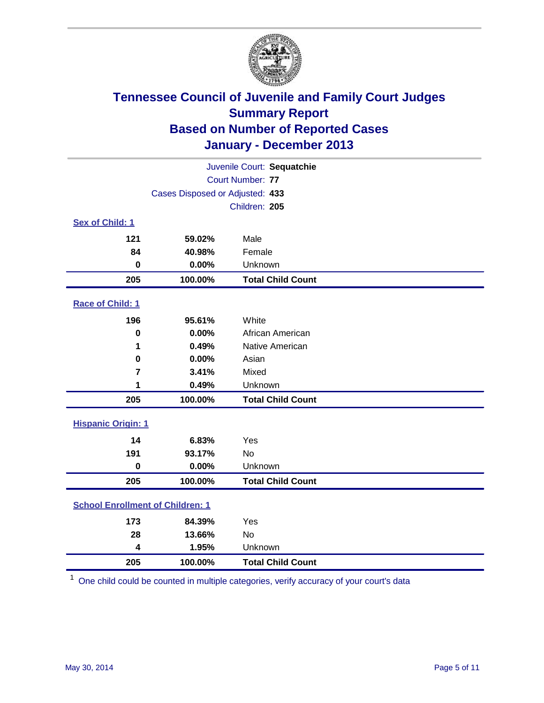

| Juvenile Court: Sequatchie              |                                 |                          |  |  |
|-----------------------------------------|---------------------------------|--------------------------|--|--|
|                                         | Court Number: 77                |                          |  |  |
|                                         | Cases Disposed or Adjusted: 433 |                          |  |  |
|                                         | Children: 205                   |                          |  |  |
| Sex of Child: 1                         |                                 |                          |  |  |
| 121                                     | 59.02%                          | Male                     |  |  |
| 84                                      | 40.98%                          | Female                   |  |  |
| 0                                       | 0.00%                           | Unknown                  |  |  |
| 205                                     | 100.00%                         | <b>Total Child Count</b> |  |  |
| Race of Child: 1                        |                                 |                          |  |  |
| 196                                     | 95.61%                          | White                    |  |  |
| $\mathbf 0$                             | 0.00%                           | African American         |  |  |
| 1                                       | 0.49%                           | Native American          |  |  |
| 0                                       | 0.00%                           | Asian                    |  |  |
| $\overline{7}$                          | 3.41%                           | Mixed                    |  |  |
| 1                                       | 0.49%                           | Unknown                  |  |  |
| 205                                     | 100.00%                         | <b>Total Child Count</b> |  |  |
| <b>Hispanic Origin: 1</b>               |                                 |                          |  |  |
| 14                                      | 6.83%                           | Yes                      |  |  |
| 191                                     | 93.17%                          | <b>No</b>                |  |  |
| $\mathbf 0$                             | 0.00%                           | Unknown                  |  |  |
| 205                                     | 100.00%                         | <b>Total Child Count</b> |  |  |
| <b>School Enrollment of Children: 1</b> |                                 |                          |  |  |
| 173                                     | 84.39%                          | Yes                      |  |  |
| 28                                      | 13.66%                          | <b>No</b>                |  |  |
| 4                                       | 1.95%                           | Unknown                  |  |  |
| 205                                     | 100.00%                         | <b>Total Child Count</b> |  |  |

One child could be counted in multiple categories, verify accuracy of your court's data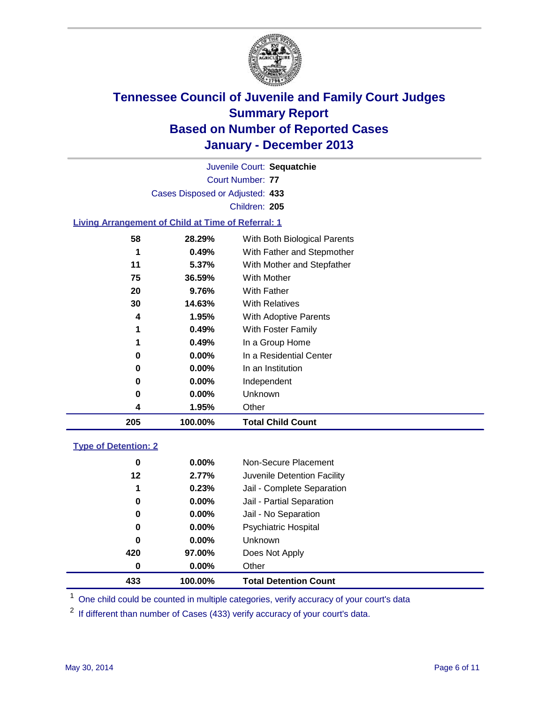

Court Number: **77** Juvenile Court: **Sequatchie** Cases Disposed or Adjusted: **433** Children: **205**

#### **Living Arrangement of Child at Time of Referral: 1**

| 205 | 100.00%  | <b>Total Child Count</b>     |  |
|-----|----------|------------------------------|--|
| 4   | 1.95%    | Other                        |  |
| 0   | $0.00\%$ | Unknown                      |  |
| 0   | $0.00\%$ | Independent                  |  |
| 0   | 0.00%    | In an Institution            |  |
| 0   | $0.00\%$ | In a Residential Center      |  |
| 1   | 0.49%    | In a Group Home              |  |
| 1   | 0.49%    | With Foster Family           |  |
| 4   | 1.95%    | With Adoptive Parents        |  |
| 30  | 14.63%   | <b>With Relatives</b>        |  |
| 20  | 9.76%    | With Father                  |  |
| 75  | 36.59%   | <b>With Mother</b>           |  |
| 11  | 5.37%    | With Mother and Stepfather   |  |
| 1   | 0.49%    | With Father and Stepmother   |  |
| 58  | 28.29%   | With Both Biological Parents |  |
|     |          |                              |  |

#### **Type of Detention: 2**

| 433 | 100.00%  | <b>Total Detention Count</b> |  |
|-----|----------|------------------------------|--|
| 0   | $0.00\%$ | Other                        |  |
| 420 | 97.00%   | Does Not Apply               |  |
| 0   | $0.00\%$ | <b>Unknown</b>               |  |
| 0   | $0.00\%$ | <b>Psychiatric Hospital</b>  |  |
| 0   | 0.00%    | Jail - No Separation         |  |
| 0   | $0.00\%$ | Jail - Partial Separation    |  |
| 1   | 0.23%    | Jail - Complete Separation   |  |
| 12  | 2.77%    | Juvenile Detention Facility  |  |
| 0   | 0.00%    | Non-Secure Placement         |  |
|     |          |                              |  |

<sup>1</sup> One child could be counted in multiple categories, verify accuracy of your court's data

<sup>2</sup> If different than number of Cases (433) verify accuracy of your court's data.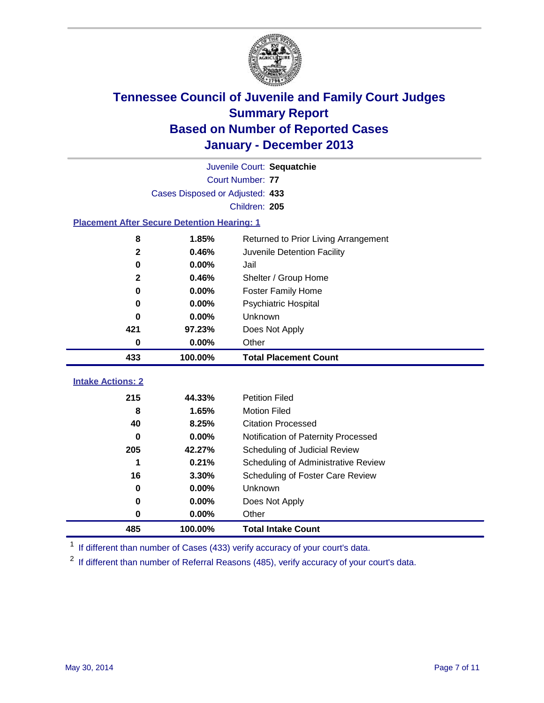

|                                                    | Juvenile Court: Sequatchie      |                                      |  |  |  |
|----------------------------------------------------|---------------------------------|--------------------------------------|--|--|--|
|                                                    | Court Number: 77                |                                      |  |  |  |
|                                                    | Cases Disposed or Adjusted: 433 |                                      |  |  |  |
|                                                    |                                 | Children: 205                        |  |  |  |
| <b>Placement After Secure Detention Hearing: 1</b> |                                 |                                      |  |  |  |
| 8                                                  | 1.85%                           | Returned to Prior Living Arrangement |  |  |  |
| $\mathbf{2}$                                       | 0.46%                           | Juvenile Detention Facility          |  |  |  |
| 0                                                  | 0.00%                           | Jail                                 |  |  |  |
| $\mathbf{2}$                                       | 0.46%                           | Shelter / Group Home                 |  |  |  |
| $\bf{0}$                                           | 0.00%                           | <b>Foster Family Home</b>            |  |  |  |
| $\bf{0}$                                           | 0.00%                           | <b>Psychiatric Hospital</b>          |  |  |  |
| 0                                                  | 0.00%                           | Unknown                              |  |  |  |
| 421                                                | 97.23%                          | Does Not Apply                       |  |  |  |
| 0                                                  | 0.00%                           | Other                                |  |  |  |
| 433                                                | 100.00%                         | <b>Total Placement Count</b>         |  |  |  |
| <b>Intake Actions: 2</b>                           |                                 |                                      |  |  |  |
|                                                    |                                 |                                      |  |  |  |
| 215                                                | 44.33%                          | <b>Petition Filed</b>                |  |  |  |
| 8                                                  | 1.65%                           | <b>Motion Filed</b>                  |  |  |  |
| 40                                                 | 8.25%                           | <b>Citation Processed</b>            |  |  |  |
| 0                                                  | 0.00%                           | Notification of Paternity Processed  |  |  |  |
| 205                                                | 42.27%                          | Scheduling of Judicial Review        |  |  |  |
| 1                                                  | 0.21%                           | Scheduling of Administrative Review  |  |  |  |
| 16                                                 | 3.30%                           | Scheduling of Foster Care Review     |  |  |  |
| 0                                                  | 0.00%                           | Unknown                              |  |  |  |
|                                                    |                                 |                                      |  |  |  |
| 0                                                  | 0.00%                           | Does Not Apply                       |  |  |  |
| 0                                                  | 0.00%                           | Other                                |  |  |  |

<sup>1</sup> If different than number of Cases (433) verify accuracy of your court's data.

If different than number of Referral Reasons (485), verify accuracy of your court's data.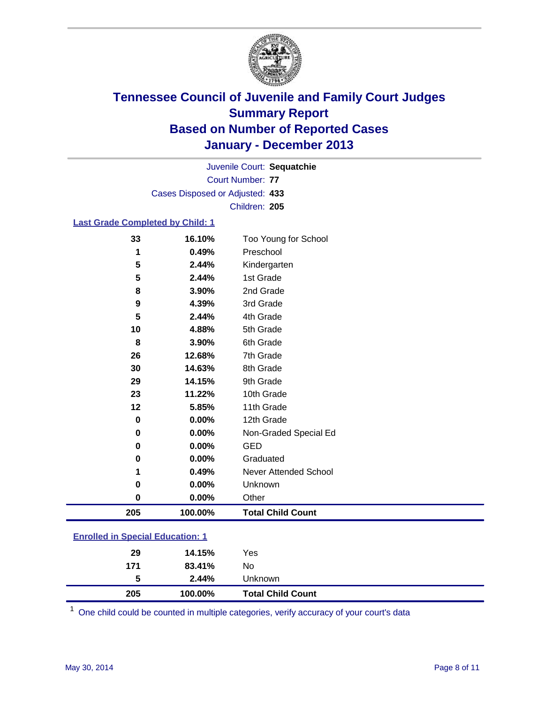

Court Number: **77** Juvenile Court: **Sequatchie** Cases Disposed or Adjusted: **433** Children: **205**

#### **Last Grade Completed by Child: 1**

| 33        | 16.10%   | Too Young for School     |
|-----------|----------|--------------------------|
| 1         | 0.49%    | Preschool                |
| 5         | 2.44%    | Kindergarten             |
| 5         | 2.44%    | 1st Grade                |
| 8         | 3.90%    | 2nd Grade                |
| 9         | 4.39%    | 3rd Grade                |
| 5         | 2.44%    | 4th Grade                |
| 10        | 4.88%    | 5th Grade                |
| 8         | 3.90%    | 6th Grade                |
| 26        | 12.68%   | 7th Grade                |
| 30        | 14.63%   | 8th Grade                |
| 29        | 14.15%   | 9th Grade                |
| 23        | 11.22%   | 10th Grade               |
| 12        | 5.85%    | 11th Grade               |
| $\pmb{0}$ | 0.00%    | 12th Grade               |
| 0         | 0.00%    | Non-Graded Special Ed    |
| 0         | 0.00%    | <b>GED</b>               |
| 0         | 0.00%    | Graduated                |
| 1         | 0.49%    | Never Attended School    |
| 0         | 0.00%    | Unknown                  |
| 0         | $0.00\%$ | Other                    |
| 205       | 100.00%  | <b>Total Child Count</b> |

| <b>Enrolled in Special Education: 1</b> |         |                          |  |  |
|-----------------------------------------|---------|--------------------------|--|--|
| 29                                      | 14.15%  | Yes                      |  |  |
| 171                                     | 83.41%  | No.                      |  |  |
| 5                                       | 2.44%   | Unknown                  |  |  |
| 205                                     | 100.00% | <b>Total Child Count</b> |  |  |

One child could be counted in multiple categories, verify accuracy of your court's data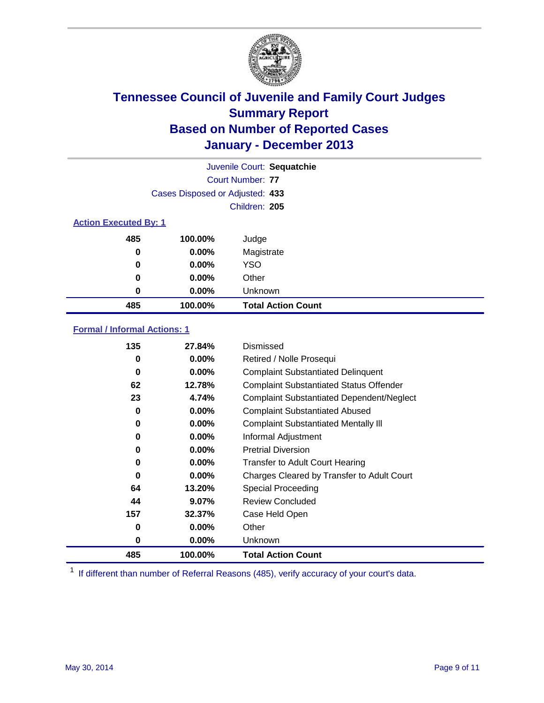

|                              |                                 | Juvenile Court: Sequatchie |
|------------------------------|---------------------------------|----------------------------|
|                              |                                 | Court Number: 77           |
|                              | Cases Disposed or Adjusted: 433 |                            |
|                              |                                 | Children: 205              |
| <b>Action Executed By: 1</b> |                                 |                            |
| 485                          | 100.00%                         | Judge                      |
| 0                            | $0.00\%$                        | Magistrate                 |
| 0                            | $0.00\%$                        | <b>YSO</b>                 |
| 0                            | $0.00\%$                        | Other                      |
| 0                            | $0.00\%$                        | Unknown                    |
| 485                          | 100.00%                         | <b>Total Action Count</b>  |

### **Formal / Informal Actions: 1**

| 135 | 27.84%   | Dismissed                                        |
|-----|----------|--------------------------------------------------|
| 0   | $0.00\%$ | Retired / Nolle Prosequi                         |
| 0   | $0.00\%$ | <b>Complaint Substantiated Delinquent</b>        |
| 62  | 12.78%   | <b>Complaint Substantiated Status Offender</b>   |
| 23  | 4.74%    | <b>Complaint Substantiated Dependent/Neglect</b> |
| 0   | $0.00\%$ | <b>Complaint Substantiated Abused</b>            |
| 0   | $0.00\%$ | <b>Complaint Substantiated Mentally III</b>      |
| 0   | $0.00\%$ | Informal Adjustment                              |
| 0   | $0.00\%$ | <b>Pretrial Diversion</b>                        |
| 0   | $0.00\%$ | <b>Transfer to Adult Court Hearing</b>           |
| 0   | 0.00%    | Charges Cleared by Transfer to Adult Court       |
| 64  | 13.20%   | Special Proceeding                               |
| 44  | $9.07\%$ | <b>Review Concluded</b>                          |
| 157 | 32.37%   | Case Held Open                                   |
| 0   | $0.00\%$ | Other                                            |
| 0   | $0.00\%$ | Unknown                                          |
| 485 | 100.00%  | <b>Total Action Count</b>                        |

<sup>1</sup> If different than number of Referral Reasons (485), verify accuracy of your court's data.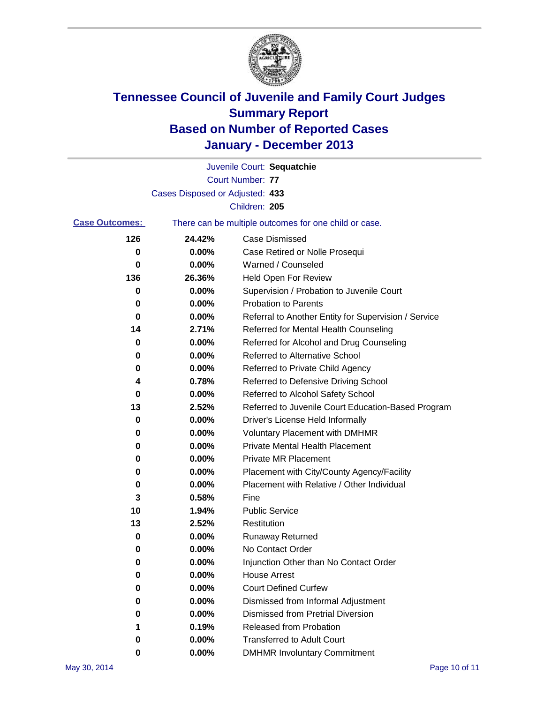

|                       |                                 | Juvenile Court: Sequatchie                            |
|-----------------------|---------------------------------|-------------------------------------------------------|
|                       |                                 | Court Number: 77                                      |
|                       | Cases Disposed or Adjusted: 433 |                                                       |
|                       |                                 | Children: 205                                         |
| <b>Case Outcomes:</b> |                                 | There can be multiple outcomes for one child or case. |
| 126                   | 24.42%                          | <b>Case Dismissed</b>                                 |
| 0                     | $0.00\%$                        | Case Retired or Nolle Prosequi                        |
| 0                     | 0.00%                           | Warned / Counseled                                    |
| 136                   | 26.36%                          | <b>Held Open For Review</b>                           |
| 0                     | 0.00%                           | Supervision / Probation to Juvenile Court             |
| 0                     | 0.00%                           | <b>Probation to Parents</b>                           |
| 0                     | 0.00%                           | Referral to Another Entity for Supervision / Service  |
| 14                    | 2.71%                           | Referred for Mental Health Counseling                 |
| 0                     | 0.00%                           | Referred for Alcohol and Drug Counseling              |
| 0                     | $0.00\%$                        | Referred to Alternative School                        |
| 0                     | 0.00%                           | Referred to Private Child Agency                      |
| 4                     | 0.78%                           | Referred to Defensive Driving School                  |
| 0                     | 0.00%                           | Referred to Alcohol Safety School                     |
| 13                    | 2.52%                           | Referred to Juvenile Court Education-Based Program    |
| 0                     | 0.00%                           | Driver's License Held Informally                      |
| 0                     | 0.00%                           | <b>Voluntary Placement with DMHMR</b>                 |
| 0                     | 0.00%                           | <b>Private Mental Health Placement</b>                |
| 0                     | 0.00%                           | <b>Private MR Placement</b>                           |
| 0                     | 0.00%                           | Placement with City/County Agency/Facility            |
| 0                     | 0.00%                           | Placement with Relative / Other Individual            |
| 3                     | 0.58%                           | Fine                                                  |
| 10                    | 1.94%                           | <b>Public Service</b>                                 |
| 13                    | 2.52%                           | Restitution                                           |
| 0                     | 0.00%                           | <b>Runaway Returned</b>                               |
| 0                     | 0.00%                           | No Contact Order                                      |
| 0                     | $0.00\%$                        | Injunction Other than No Contact Order                |
| 0                     | 0.00%                           | <b>House Arrest</b>                                   |
| 0                     | 0.00%                           | <b>Court Defined Curfew</b>                           |
| 0                     | 0.00%                           | Dismissed from Informal Adjustment                    |
| 0                     | 0.00%                           | <b>Dismissed from Pretrial Diversion</b>              |
| 1.                    | 0.19%                           | Released from Probation                               |
| 0                     | 0.00%                           | <b>Transferred to Adult Court</b>                     |
| 0                     | 0.00%                           | <b>DMHMR Involuntary Commitment</b>                   |